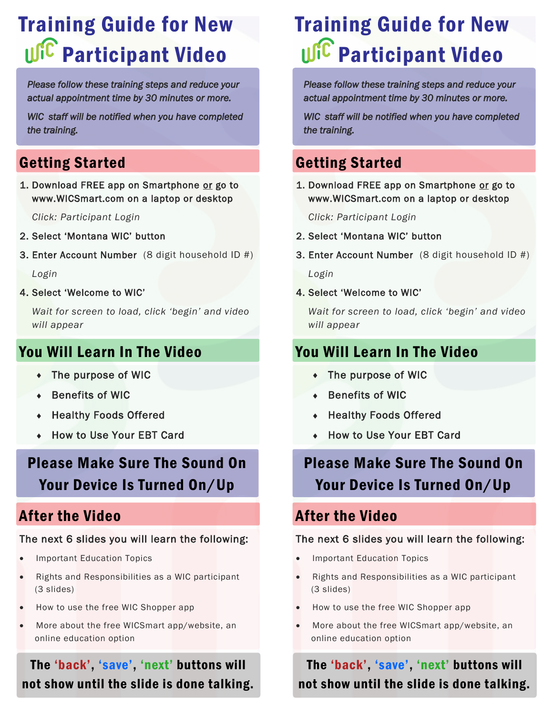# Training Guide for New **UIC** Participant Video

*Please follow these training steps and reduce your actual appointment time by 30 minutes or more.* 

*WIC staff will be notified when you have completed the training.* 

## Getting Started

1. Download FREE app on Smartphone or go to www.WICSmart.com on a laptop or desktop

*Click: Participant Login*

- 2. Select 'Montana WIC' button
- 3. Enter Account Number (8 digit household ID #)

*Login*

4. Select 'Welcome to WIC'

*Wait for screen to load, click 'begin' and video will appear*

### You Will Learn In The Video

- The purpose of WIC
- Benefits of WIC
- Healthy Foods Offered
- How to Use Your EBT Card

# Please Make Sure The Sound On Your Device Is Turned On/Up

### After the Video

### The next 6 slides you will learn the following:

- Important Education Topics
- Rights and Responsibilities as a WIC participant (3 slides)
- How to use the free WIC Shopper app
- More about the free WICSmart app/website, an online education option

The 'back', 'save', 'next' buttons will not show until the slide is done talking.

# Training Guide for New **UIC** Participant Video

*Please follow these training steps and reduce your actual appointment time by 30 minutes or more.* 

*WIC staff will be notified when you have completed the training.* 

## Getting Started

1. Download FREE app on Smartphone or go to www.WICSmart.com on a laptop or desktop

*Click: Participant Login*

- 2. Select 'Montana WIC' button
- 3. Enter Account Number (8 digit household ID #)

*Login*

4. Select 'Welcome to WIC'

*Wait for screen to load, click 'begin' and video will appear*

## You Will Learn In The Video

- The purpose of WIC
- Benefits of WIC
- Healthy Foods Offered
- How to Use Your EBT Card

# Please Make Sure The Sound On Your Device Is Turned On/Up

### After the Video

#### The next 6 slides you will learn the following:

- Important Education Topics
- Rights and Responsibilities as a WIC participant (3 slides)
- How to use the free WIC Shopper app
- More about the free WICSmart app/website, an online education option

The 'back', 'save', 'next' buttons will not show until the slide is done talking.